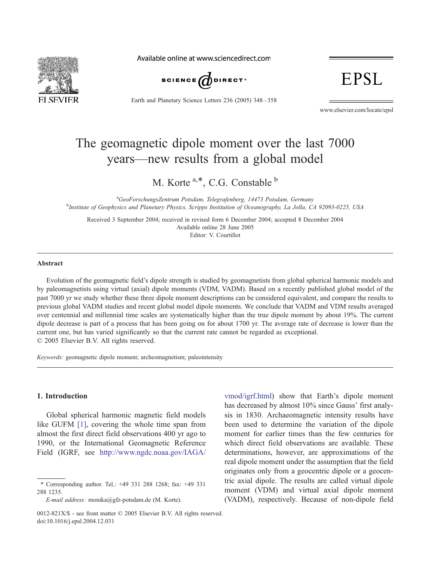

Available online at www.sciencedirect.com



Earth and Planetary Science Letters 236 (2005) 348 – 358

EPSL

www.elsevier.com/locate/epsl

# The geomagnetic dipole moment over the last 7000 years—new results from a global model

M. Korte  $a, *$ , C.G. Constable  $b$ 

<sup>a</sup>GeoForschungsZentrum Potsdam, Telegrafenberg, 14473 Potsdam, Germany <sup>a</sup>GeoForschungsZentrum Potsdam, Telegrafenberg, 14473 Potsdam, Germany<br><sup>b</sup>Institute of Geophysics and Planetary Physics, Scripps Institution of Oceanography, La Jolla, CA 92093-0225, USA

Received 3 September 2004; received in revised form 6 December 2004; accepted 8 December 2004 Available online 28 June 2005 Editor: V. Courtillot

#### Abstract

Evolution of the geomagnetic field's dipole strength is studied by geomagnetists from global spherical harmonic models and by paleomagnetists using virtual (axial) dipole moments (VDM, VADM). Based on a recently published global model of the past 7000 yr we study whether these three dipole moment descriptions can be considered equivalent, and compare the results to previous global VADM studies and recent global model dipole moments. We conclude that VADM and VDM results averaged over centennial and millennial time scales are systematically higher than the true dipole moment by about 19%. The current dipole decrease is part of a process that has been going on for about 1700 yr. The average rate of decrease is lower than the current one, but has varied significantly so that the current rate cannot be regarded as exceptional.  $© 2005 Elsevier B.V. All rights reserved.$ 

Keywords: geomagnetic dipole moment; archeomagnetism; paleointensity

### 1. Introduction

Global spherical harmonic magnetic field models like GUFM [\[1\]](#page-10-0), covering the whole time span from almost the first direct field observations 400 yr ago to 1990, or the International Geomagnetic Reference Field (IGRF, see [http://www.ngdc.noaa.gov/IAGA/](http://www.ngdc.noaa.gov/IAGA/vmod/igrf.html)

<sup>\*</sup> Corresponding author. Tel.: +49 331 288 1268; fax: +49 331 288 1235.

E-mail address: monika@gfz-potsdam.de (M. Korte).

vmod/igrf.html) show that Earth's dipole moment has decreased by almost 10% since Gauss' first analysis in 1830. Archaeomagnetic intensity results have been used to determine the variation of the dipole moment for earlier times than the few centuries for which direct field observations are available. These determinations, however, are approximations of the real dipole moment under the assumption that the field originates only from a geocentric dipole or a geocentric axial dipole. The results are called virtual dipole moment (VDM) and virtual axial dipole moment (VADM), respectively. Because of non-dipole field

<sup>0012-821</sup> $X/S$  - see front matter  $\odot$  2005 Elsevier B.V. All rights reserved. doi:10.1016/j.epsl.2004.12.031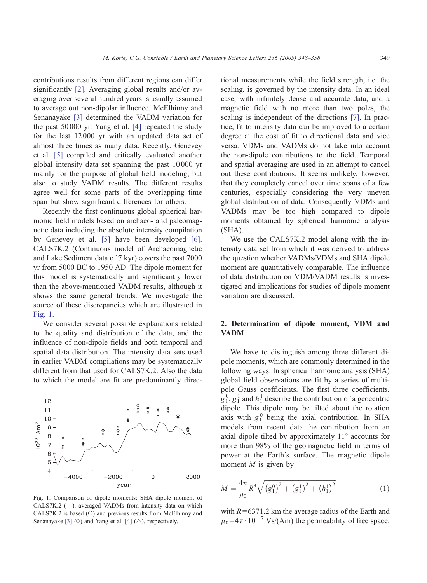contributions results from different regions can differ significantly [\[2\]](#page-10-0). Averaging global results and/or averaging over several hundred years is usually assumed to average out non-dipolar influence. McElhinny and Senanayake [\[3\]](#page-10-0) determined the VADM variation for the past 50 000 yr. Yang et al. [\[4\]](#page-10-0) repeated the study for the last 12 000 yr with an updated data set of almost three times as many data. Recently, Genevey et al. [\[5\]](#page-10-0) compiled and critically evaluated another global intensity data set spanning the past 10 000 yr mainly for the purpose of global field modeling, but also to study VADM results. The different results agree well for some parts of the overlapping time span but show significant differences for others.

Recently the first continuous global spherical harmonic field models based on archaeo- and paleomagnetic data including the absolute intensity compilation by Genevey et al. [\[5\]](#page-10-0) have been developed [\[6\].](#page-10-0) CALS7K.2 (Continuous model of Archaeomagnetic and Lake Sediment data of 7 kyr) covers the past 7000 yr from 5000 BC to 1950 AD. The dipole moment for this model is systematically and significantly lower than the above-mentioned VADM results, although it shows the same general trends. We investigate the source of these discrepancies which are illustrated in Fig. 1.

We consider several possible explanations related to the quality and distribution of the data, and the influence of non-dipole fields and both temporal and spatial data distribution. The intensity data sets used in earlier VADM compilations may be systematically different from that used for CALS7K.2. Also the data to which the model are fit are predominantly direc-



Fig. 1. Comparison of dipole moments: SHA dipole moment of CALS7K.2 (—), averaged VADMs from intensity data on which CALS7K.2 is based (O) and previous results from McElhinny and Senanayake [\[3\]](#page-10-0)  $(\Diamond)$  and Yang et al. [\[4\]](#page-10-0)  $(\triangle)$ , respectively.

tional measurements while the field strength, i.e. the scaling, is governed by the intensity data. In an ideal case, with infinitely dense and accurate data, and a magnetic field with no more than two poles, the scaling is independent of the directions [\[7\].](#page-10-0) In practice, fit to intensity data can be improved to a certain degree at the cost of fit to directional data and vice versa. VDMs and VADMs do not take into account the non-dipole contributions to the field. Temporal and spatial averaging are used in an attempt to cancel out these contributions. It seems unlikely, however, that they completely cancel over time spans of a few centuries, especially considering the very uneven global distribution of data. Consequently VDMs and VADMs may be too high compared to dipole moments obtained by spherical harmonic analysis (SHA).

We use the CALS7K.2 model along with the intensity data set from which it was derived to address the question whether VADMs/VDMs and SHA dipole moment are quantitatively comparable. The influence of data distribution on VDM/VADM results is investigated and implications for studies of dipole moment variation are discussed.

# 2. Determination of dipole moment, VDM and VADM

We have to distinguish among three different dipole moments, which are commonly determined in the following ways. In spherical harmonic analysis (SHA) global field observations are fit by a series of multipole Gauss coefficients. The first three coefficients,  $g_1^0, g_1^1$  and  $h_1^1$  describe the contribution of a geocentric dipole. This dipole may be tilted about the rotation axis with  $g_1^0$  being the axial contribution. In SHA models from recent data the contribution from an axial dipole tilted by approximately  $11^\circ$  accounts for more than 98% of the geomagnetic field in terms of power at the Earth's surface. The magnetic dipole moment  $M$  is given by

$$
M = \frac{4\pi}{\mu_0} R^3 \sqrt{\left(g_1^0\right)^2 + \left(g_1^1\right)^2 + \left(h_1^1\right)^2} \tag{1}
$$

with  $R = 6371.2$  km the average radius of the Earth and  $\mu_0$ =4 $\pi \cdot 10^{-7}$  Vs/(Am) the permeability of free space.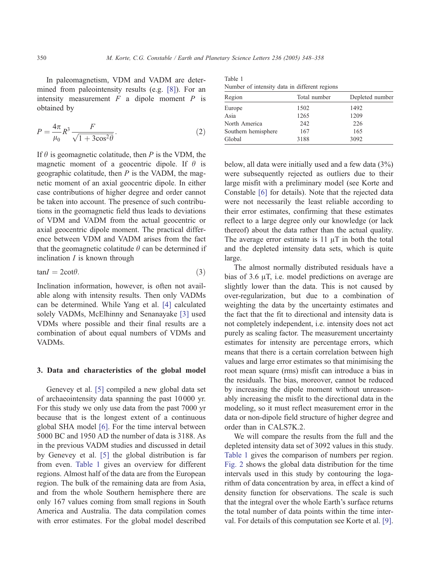In paleomagnetism, VDM and VADM are determined from paleointensity results (e.g. [\[8\]\)](#page-10-0). For an intensity measurement  $F$  a dipole moment  $P$  is obtained by

$$
P = \frac{4\pi}{\mu_0} R^3 \frac{F}{\sqrt{1 + 3\cos^2\theta}}.
$$
\n<sup>(2)</sup>

If  $\theta$  is geomagnetic colatitude, then P is the VDM, the magnetic moment of a geocentric dipole. If  $\theta$  is geographic colatitude, then  $P$  is the VADM, the magnetic moment of an axial geocentric dipole. In either case contributions of higher degree and order cannot be taken into account. The presence of such contributions in the geomagnetic field thus leads to deviations of VDM and VADM from the actual geocentric or axial geocentric dipole moment. The practical difference between VDM and VADM arises from the fact that the geomagnetic colatitude  $\theta$  can be determined if inclination  $I$  is known through

$$
tanI = 2cot\theta.
$$
 (3)

Inclination information, however, is often not available along with intensity results. Then only VADMs can be determined. While Yang et al. [\[4\]](#page-10-0) calculated solely VADMs, McElhinny and Senanayake [\[3\]](#page-10-0) used VDMs where possible and their final results are a combination of about equal numbers of VDMs and VADMs.

### 3. Data and characteristics of the global model

Genevey et al. [\[5\]](#page-10-0) compiled a new global data set of archaeointensity data spanning the past 10 000 yr. For this study we only use data from the past 7000 yr because that is the longest extent of a continuous global SHA model [\[6\].](#page-10-0) For the time interval between 5000 BC and 1950 AD the number of data is 3188. As in the previous VADM studies and discussed in detail by Genevey et al. [\[5\]](#page-10-0) the global distribution is far from even. Table 1 gives an overview for different regions. Almost half of the data are from the European region. The bulk of the remaining data are from Asia, and from the whole Southern hemisphere there are only 167 values coming from small regions in South America and Australia. The data compilation comes with error estimates. For the global model described

Table 1 Number of intensity data in different regions

| reduced of interiory data in different regions |              |                 |  |  |  |
|------------------------------------------------|--------------|-----------------|--|--|--|
| Region                                         | Total number | Depleted number |  |  |  |
| Europe                                         | 1502         | 1492            |  |  |  |
| Asia                                           | 1265         | 1209            |  |  |  |
| North America                                  | 242          | 226             |  |  |  |
| Southern hemisphere                            | 167          | 165             |  |  |  |
| Global                                         | 3188         | 3092            |  |  |  |

below, all data were initially used and a few data (3%) were subsequently rejected as outliers due to their large misfit with a preliminary model (see Korte and Constable [\[6\]](#page-10-0) for details). Note that the rejected data were not necessarily the least reliable according to their error estimates, confirming that these estimates reflect to a large degree only our knowledge (or lack thereof) about the data rather than the actual quality. The average error estimate is  $11 \mu T$  in both the total and the depleted intensity data sets, which is quite large.

The almost normally distributed residuals have a bias of 3.6  $\mu$ T, i.e. model predictions on average are slightly lower than the data. This is not caused by over-regularization, but due to a combination of weighting the data by the uncertainty estimates and the fact that the fit to directional and intensity data is not completely independent, i.e. intensity does not act purely as scaling factor. The measurement uncertainty estimates for intensity are percentage errors, which means that there is a certain correlation between high values and large error estimates so that minimising the root mean square (rms) misfit can introduce a bias in the residuals. The bias, moreover, cannot be reduced by increasing the dipole moment without unreasonably increasing the misfit to the directional data in the modeling, so it must reflect measurement error in the data or non-dipole field structure of higher degree and order than in CALS7K.2.

We will compare the results from the full and the depleted intensity data set of 3092 values in this study. Table 1 gives the comparison of numbers per region. [Fig. 2](#page-3-0) shows the global data distribution for the time intervals used in this study by contouring the logarithm of data concentration by area, in effect a kind of density function for observations. The scale is such that the integral over the whole Earth's surface returns the total number of data points within the time interval. For details of this computation see Korte et al. [\[9\].](#page-10-0)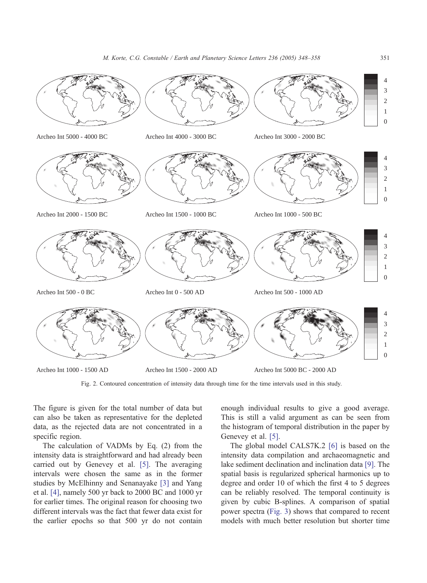<span id="page-3-0"></span>

Fig. 2. Contoured concentration of intensity data through time for the time intervals used in this study.

The figure is given for the total number of data but can also be taken as representative for the depleted data, as the rejected data are not concentrated in a specific region.

The calculation of VADMs by Eq. (2) from the intensity data is straightforward and had already been carried out by Genevey et al. [\[5\].](#page-10-0) The averaging intervals were chosen the same as in the former studies by McElhinny and Senanayake [\[3\]](#page-10-0) and Yang et al. [\[4\],](#page-10-0) namely 500 yr back to 2000 BC and 1000 yr for earlier times. The original reason for choosing two different intervals was the fact that fewer data exist for the earlier epochs so that 500 yr do not contain

enough individual results to give a good average. This is still a valid argument as can be seen from the histogram of temporal distribution in the paper by Genevey et al. [\[5\].](#page-10-0)

The global model CALS7K.2 [\[6\]](#page-10-0) is based on the intensity data compilation and archaeomagnetic and lake sediment declination and inclination data [\[9\].](#page-10-0) The spatial basis is regularized spherical harmonics up to degree and order 10 of which the first 4 to 5 degrees can be reliably resolved. The temporal continuity is given by cubic B-splines. A comparison of spatial power spectra ([Fig. 3\)](#page-4-0) shows that compared to recent models with much better resolution but shorter time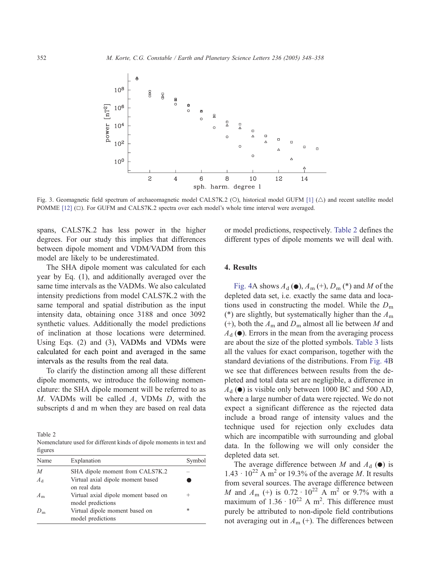<span id="page-4-0"></span>

Fig. 3. Geomagnetic field spectrum of archaeomagnetic model CALS7K.2 (O), historical model GUFM  $[1] (\triangle)$  $[1] (\triangle)$  and recent satellite model POMME  $[12]$   $(\square)$ . For GUFM and CALS7K.2 spectra over each model's whole time interval were averaged.

spans, CALS7K.2 has less power in the higher degrees. For our study this implies that differences between dipole moment and VDM/VADM from this model are likely to be underestimated.

The SHA dipole moment was calculated for each year by Eq. (1), and additionally averaged over the same time intervals as the VADMs. We also calculated intensity predictions from model CALS7K.2 with the same temporal and spatial distribution as the input intensity data, obtaining once 3188 and once 3092 synthetic values. Additionally the model predictions of inclination at those locations were determined. Using Eqs. (2) and (3), VADMs and VDMs were calculated for each point and averaged in the same intervals as the results from the real data.

To clarify the distinction among all these different dipole moments, we introduce the following nomenclature: the SHA dipole moment will be referred to as M. VADMs will be called A, VDMs D, with the subscripts d and m when they are based on real data

Table 2 Nomenclature used for different kinds of dipole moments in text and figures

| $116$ $\mu$ |                                                           |        |
|-------------|-----------------------------------------------------------|--------|
| Name        | Explanation                                               | Symbol |
| M           | SHA dipole moment from CALS7K.2                           |        |
| $A_{d}$     | Virtual axial dipole moment based<br>on real data         |        |
| $A_{m}$     | Virtual axial dipole moment based on<br>model predictions | +      |
| $D_{\rm m}$ | Virtual dipole moment based on<br>model predictions       | *      |
|             |                                                           |        |

or model predictions, respectively. Table 2 defines the different types of dipole moments we will deal with.

# 4. Results

[Fig. 4A](#page-5-0) shows  $A_d$  ( $\bullet$ ),  $A_m$  (+),  $D_m$  (\*) and M of the depleted data set, i.e. exactly the same data and locations used in constructing the model. While the  $D<sub>m</sub>$ (\*) are slightly, but systematically higher than the  $A<sub>m</sub>$ (+), both the  $A_m$  and  $D_m$  almost all lie between M and  $A_d$  ( $\bullet$ ). Errors in the mean from the averaging process are about the size of the plotted symbols. [Table 3](#page-5-0) lists all the values for exact comparison, together with the standard deviations of the distributions. From [Fig. 4B](#page-5-0) we see that differences between results from the depleted and total data set are negligible, a difference in  $A_d$  ( $\bullet$ ) is visible only between 1000 BC and 500 AD, where a large number of data were rejected. We do not expect a significant difference as the rejected data include a broad range of intensity values and the technique used for rejection only excludes data which are incompatible with surrounding and global data. In the following we will only consider the depleted data set.

The average difference between M and  $A_d$  ( $\bullet$ ) is  $1.43 \cdot 10^{22}$  A m<sup>2</sup> or 19.3% of the average M. It results from several sources. The average difference between *M* and  $A_m$  (+) is 0.72  $\cdot 10^{22}$  A m<sup>2</sup> or 9.7% with a maximum of  $1.36 \cdot 10^{22}$  A m<sup>2</sup>. This difference must purely be attributed to non-dipole field contributions not averaging out in  $A_m$  (+). The differences between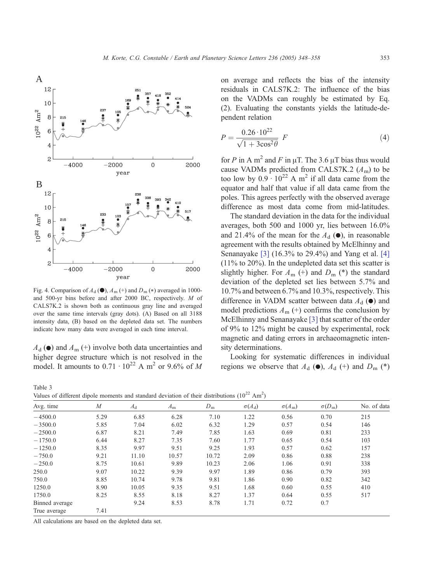<span id="page-5-0"></span>

Fig. 4. Comparison of  $A_d$  ( $\bullet$ ),  $A_m$  (+) and  $D_m$  (\*) averaged in 1000and 500-yr bins before and after 2000 BC, respectively. M of CALS7K.2 is shown both as continuous gray line and averaged over the same time intervals (gray dots). (A) Based on all 3188 intensity data, (B) based on the depleted data set. The numbers indicate how many data were averaged in each time interval.

 $A_{d}(\bullet)$  and  $A_{m}(\dagger)$  involve both data uncertainties and higher degree structure which is not resolved in the model. It amounts to  $0.71 \cdot 10^{22}$  A m<sup>2</sup> or 9.6% of M

Table 3

on average and reflects the bias of the intensity residuals in CALS7K.2: The influence of the bias on the VADMs can roughly be estimated by Eq. (2). Evaluating the constants yields the latitude-dependent relation

$$
P = \frac{0.26 \cdot 10^{22}}{\sqrt{1 + 3\cos^2\theta}} \ F \tag{4}
$$

for P in A m<sup>2</sup> and F in  $\mu$ T. The 3.6  $\mu$ T bias thus would cause VADMs predicted from CALS7K.2  $(A<sub>m</sub>)$  to be too low by  $0.9 \cdot 10^{22}$  A m<sup>2</sup> if all data came from the equator and half that value if all data came from the poles. This agrees perfectly with the observed average difference as most data come from mid-latitudes.

The standard deviation in the data for the individual averages, both 500 and 1000 yr, lies between 16.0% and 21.4% of the mean for the  $A_d$  ( $\bullet$ ), in reasonable agreement with the results obtained by McElhinny and Senanayake [\[3\]](#page-10-0) (16.3% to 29.4%) and Yang et al. [\[4\]](#page-10-0) (11% to 20%). In the undepleted data set this scatter is slightly higher. For  $A_m$  (+) and  $D_m$  (\*) the standard deviation of the depleted set lies between 5.7% and 10.7% and between 6.7% and 10.3%, respectively. This difference in VADM scatter between data  $A_d$  ( $\bullet$ ) and model predictions  $A_{\rm m}$  (+) confirms the conclusion by McElhinny and Senanayake [\[3\]](#page-10-0) that scatter of the order of 9% to 12% might be caused by experimental, rock magnetic and dating errors in archaeomagnetic intensity determinations.

Looking for systematic differences in individual regions we observe that  $A_d$  ( $\bullet$ ),  $A_d$  (+) and  $D_m$  (\*)

Values of different dipole moments and standard deviation of their distributions  $(10^{22} \text{ Am}^2)$ 

| Avg. time      | M    | $A_{\rm d}$ | $A_{\rm m}$ | $D_{\rm m}$ | $\sigma(A_d)$ | $\sigma(A_m)$ | $\sigma(D_m)$ | No. of data |
|----------------|------|-------------|-------------|-------------|---------------|---------------|---------------|-------------|
|                |      |             |             |             |               |               |               |             |
| $-4500.0$      | 5.29 | 6.85        | 6.28        | 7.10        | 1.22          | 0.56          | 0.70          | 215         |
| $-3500.0$      | 5.85 | 7.04        | 6.02        | 6.32        | 1.29          | 0.57          | 0.54          | 146         |
| $-2500.0$      | 6.87 | 8.21        | 7.49        | 7.85        | 1.63          | 0.69          | 0.81          | 233         |
| $-1750.0$      | 6.44 | 8.27        | 7.35        | 7.60        | 1.77          | 0.65          | 0.54          | 103         |
| $-1250.0$      | 8.35 | 9.97        | 9.51        | 9.25        | 1.93          | 0.57          | 0.62          | 157         |
| $-750.0$       | 9.21 | 11.10       | 10.57       | 10.72       | 2.09          | 0.86          | 0.88          | 238         |
| $-250.0$       | 8.75 | 10.61       | 9.89        | 10.23       | 2.06          | 1.06          | 0.91          | 338         |
| 250.0          | 9.07 | 10.22       | 9.39        | 9.97        | 1.89          | 0.86          | 0.79          | 393         |
| 750.0          | 8.85 | 10.74       | 9.78        | 9.81        | 1.86          | 0.90          | 0.82          | 342         |
| 1250.0         | 8.90 | 10.05       | 9.35        | 9.51        | 1.68          | 0.60          | 0.55          | 410         |
| 1750.0         | 8.25 | 8.55        | 8.18        | 8.27        | 1.37          | 0.64          | 0.55          | 517         |
| Binned average |      | 9.24        | 8.53        | 8.78        | 1.71          | 0.72          | 0.7           |             |
| True average   | 7.41 |             |             |             |               |               |               |             |

All calculations are based on the depleted data set.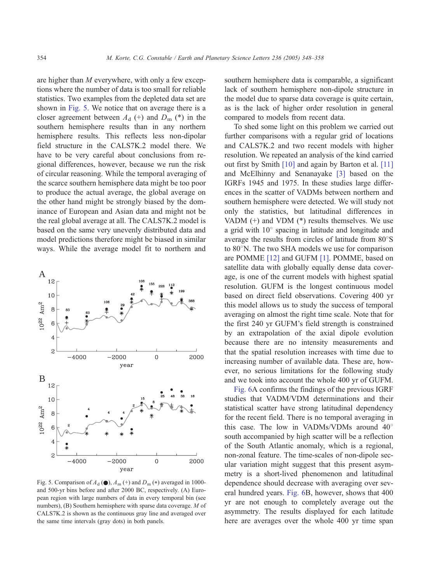are higher than M everywhere, with only a few exceptions where the number of data is too small for reliable statistics. Two examples from the depleted data set are shown in Fig. 5. We notice that on average there is a closer agreement between  $A_d$  (+) and  $D_m$  (\*) in the southern hemisphere results than in any northern hemisphere results. This reflects less non-dipolar field structure in the CALS7K.2 model there. We have to be very careful about conclusions from regional differences, however, because we run the risk of circular reasoning. While the temporal averaging of the scarce southern hemisphere data might be too poor to produce the actual average, the global average on the other hand might be strongly biased by the dominance of European and Asian data and might not be the real global average at all. The CALS7K.2 model is based on the same very unevenly distributed data and model predictions therefore might be biased in similar ways. While the average model fit to northern and



Fig. 5. Comparison of  $A_d$  ( $\bullet$ ),  $A_m$  (+) and  $D_m$  (\*) averaged in 1000and 500-yr bins before and after 2000 BC, respectively. (A) European region with large numbers of data in every temporal bin (see numbers), (B) Southern hemisphere with sparse data coverage. M of CALS7K.2 is shown as the continuous gray line and averaged over the same time intervals (gray dots) in both panels.

southern hemisphere data is comparable, a significant lack of southern hemisphere non-dipole structure in the model due to sparse data coverage is quite certain, as is the lack of higher order resolution in general compared to models from recent data.

To shed some light on this problem we carried out further comparisons with a regular grid of locations and CALS7K.2 and two recent models with higher resolution. We repeated an analysis of the kind carried out first by Smith [\[10\]](#page-10-0) and again by Barton et al. [\[11\]](#page-10-0) and McElhinny and Senanayake [\[3\]](#page-10-0) based on the IGRFs 1945 and 1975. In these studies large differences in the scatter of VADMs between northern and southern hemisphere were detected. We will study not only the statistics, but latitudinal differences in VADM  $(+)$  and VDM  $(*)$  results themselves. We use a grid with  $10^{\circ}$  spacing in latitude and longitude and average the results from circles of latitude from  $80^{\circ}$ S to  $80^{\circ}$ N. The two SHA models we use for comparison are POMME [\[12\]](#page-10-0) and GUFM [\[1\].](#page-10-0) POMME, based on satellite data with globally equally dense data coverage, is one of the current models with highest spatial resolution. GUFM is the longest continuous model based on direct field observations. Covering 400 yr this model allows us to study the success of temporal averaging on almost the right time scale. Note that for the first 240 yr GUFM's field strength is constrained by an extrapolation of the axial dipole evolution because there are no intensity measurements and that the spatial resolution increases with time due to increasing number of available data. These are, however, no serious limitations for the following study and we took into account the whole 400 yr of GUFM.

[Fig. 6A](#page-7-0) confirms the findings of the previous IGRF studies that VADM/VDM determinations and their statistical scatter have strong latitudinal dependency for the recent field. There is no temporal averaging in this case. The low in VADMs/VDMs around  $40^{\circ}$ south accompanied by high scatter will be a reflection of the South Atlantic anomaly, which is a regional, non-zonal feature. The time-scales of non-dipole secular variation might suggest that this present asymmetry is a short-lived phenomenon and latitudinal dependence should decrease with averaging over several hundred years. [Fig. 6B](#page-7-0), however, shows that 400 yr are not enough to completely average out the asymmetry. The results displayed for each latitude here are averages over the whole 400 yr time span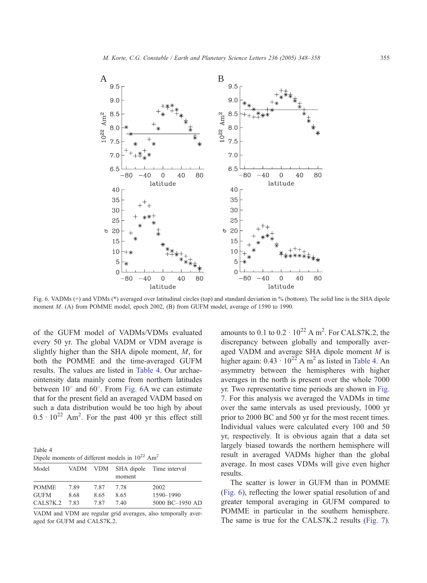<span id="page-7-0"></span>

Fig. 6. VADMs (+) and VDMs (\*) averaged over latitudinal circles (top) and standard deviation in % (bottom). The solid line is the SHA dipole moment M. (A) from POMME model, epoch 2002, (B) from GUFM model, average of 1590 to 1990.

of the GUFM model of VADMs/VDMs evaluated every 50 yr. The global VADM or VDM average is slightly higher than the SHA dipole moment, M, for both the POMME and the time-averaged GUFM results. The values are listed in Table 4. Our archaeointensity data mainly come from northern latitudes between  $10^{\circ}$  and  $60^{\circ}$ . From Fig. 6A we can estimate that for the present field an averaged VADM based on such a data distribution would be too high by about  $0.5 \cdot 10^{22}$  Am<sup>2</sup>. For the past 400 yr this effect still

Table 4 Dipole moments of different models in  $10^{22}$  Am<sup>2</sup>

| Model        |      |      | moment | VADM VDM SHA dipole Time interval |
|--------------|------|------|--------|-----------------------------------|
| <b>POMME</b> | 7.89 | 787  | 778    | 2002                              |
| GUEM         | 8.68 | 8.65 | 8.65   | 1590-1990                         |
| CALS7K.2     | 783  | 787  | 740    | 5000 BC-1950 AD                   |
|              |      |      |        |                                   |

VADM and VDM are regular grid averages, also temporally averaged for GUFM and CALS7K.2.

amounts to 0.1 to  $0.2 \cdot 10^{22}$  A m<sup>2</sup>. For CALS7K.2, the discrepancy between globally and temporally averaged VADM and average SHA dipole moment M is higher again:  $0.43 \cdot 10^{22}$  A m<sup>2</sup> as listed in Table 4. An asymmetry between the hemispheres with higher averages in the north is present over the whole 7000 yr. Two representative time periods are shown in [Fig.](#page-8-0) 7. For this analysis we averaged the VADMs in time over the same intervals as used previously, 1000 yr prior to 2000 BC and 500 yr for the most recent times. Individual values were calculated every 100 and 50 yr, respectively. It is obvious again that a data set largely biased towards the northern hemisphere will result in averaged VADMs higher than the global average. In most cases VDMs will give even higher results.

The scatter is lower in GUFM than in POMME (Fig. 6), reflecting the lower spatial resolution of and greater temporal averaging in GUFM compared to POMME in particular in the southern hemisphere. The same is true for the CALS7K.2 results ([Fig. 7\)](#page-8-0).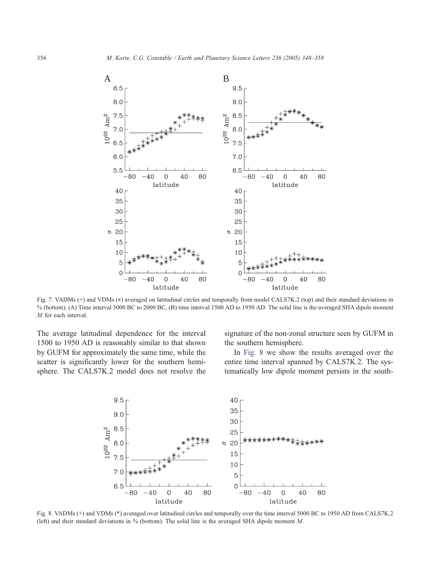<span id="page-8-0"></span>

Fig. 7. VADMs (+) and VDMs (\*) averaged on latitudinal circles and temporally from model CALS7K.2 (top) and their standard deviations in % (bottom). (A) Time interval 3000 BC to 2000 BC, (B) time interval 1500 AD to 1950 AD. The solid line is the averaged SHA dipole moment M for each interval.

The average latitudinal dependence for the interval 1500 to 1950 AD is reasonably similar to that shown by GUFM for approximately the same time, while the scatter is significantly lower for the southern hemisphere. The CALS7K.2 model does not resolve the signature of the non-zonal structure seen by GUFM in the southern hemisphere.

In Fig. 8 we show the results averaged over the entire time interval spanned by CALS7K.2. The systematically low dipole moment persists in the south-



Fig. 8. VADMs (+) and VDMs (\*) averaged over latitudinal circles and temporally over the time interval 5000 BC to 1950 AD from CALS7K.2 (left) and their standard deviations in % (bottom). The solid line is the averaged SHA dipole moment M.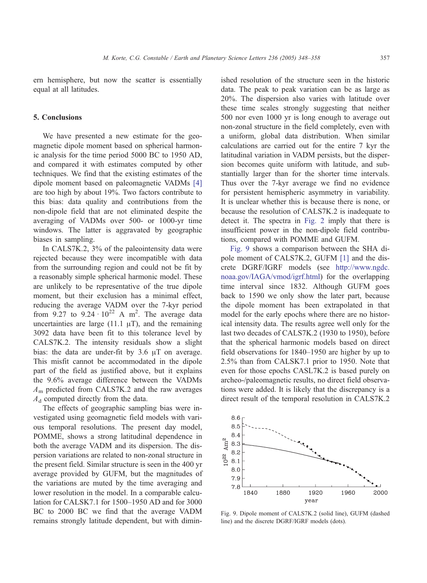ern hemisphere, but now the scatter is essentially equal at all latitudes.

# 5. Conclusions

We have presented a new estimate for the geomagnetic dipole moment based on spherical harmonic analysis for the time period 5000 BC to 1950 AD, and compared it with estimates computed by other techniques. We find that the existing estimates of the dipole moment based on paleomagnetic VADMs [\[4\]](#page-10-0) are too high by about 19%. Two factors contribute to this bias: data quality and contributions from the non-dipole field that are not eliminated despite the averaging of VADMs over 500- or 1000-yr time windows. The latter is aggravated by geographic biases in sampling.

In CALS7K.2, 3% of the paleointensity data were rejected because they were incompatible with data from the surrounding region and could not be fit by a reasonably simple spherical harmonic model. These are unlikely to be representative of the true dipole moment, but their exclusion has a minimal effect, reducing the average VADM over the 7-kyr period from  $9.27$  to  $9.24 \cdot 10^{22}$  A m<sup>2</sup>. The average data uncertainties are large (11.1  $\mu$ T), and the remaining 3092 data have been fit to this tolerance level by CALS7K.2. The intensity residuals show a slight bias: the data are under-fit by  $3.6 \mu T$  on average. This misfit cannot be accommodated in the dipole part of the field as justified above, but it explains the 9.6% average difference between the VADMs  $A<sub>m</sub>$  predicted from CALS7K.2 and the raw averages  $A_d$  computed directly from the data.

The effects of geographic sampling bias were investigated using geomagnetic field models with various temporal resolutions. The present day model, POMME, shows a strong latitudinal dependence in both the average VADM and its dispersion. The dispersion variations are related to non-zonal structure in the present field. Similar structure is seen in the 400 yr average provided by GUFM, but the magnitudes of the variations are muted by the time averaging and lower resolution in the model. In a comparable calculation for CALSK7.1 for 1500–1950 AD and for 3000 BC to 2000 BC we find that the average VADM remains strongly latitude dependent, but with diminished resolution of the structure seen in the historic data. The peak to peak variation can be as large as 20%. The dispersion also varies with latitude over these time scales strongly suggesting that neither 500 nor even 1000 yr is long enough to average out non-zonal structure in the field completely, even with a uniform, global data distribution. When similar calculations are carried out for the entire 7 kyr the latitudinal variation in VADM persists, but the dispersion becomes quite uniform with latitude, and substantially larger than for the shorter time intervals. Thus over the 7-kyr average we find no evidence for persistent hemispheric asymmetry in variability. It is unclear whether this is because there is none, or because the resolution of CALS7K.2 is inadequate to detect it. The spectra in [Fig. 2](#page-3-0) imply that there is insufficient power in the non-dipole field contributions, compared with POMME and GUFM.

Fig. 9 shows a comparison between the SHA dipole moment of CALS7K.2, GUFM [\[1\]](#page-10-0) and the discrete DGRF/IGRF models (see [http://www.ngdc.](http://www.ngdc.noaa.gov/IAGA/vmod/igrf.html) noaa.gov/IAGA/vmod/igrf.html) for the overlapping time interval since 1832. Although GUFM goes back to 1590 we only show the later part, because the dipole moment has been extrapolated in that model for the early epochs where there are no historical intensity data. The results agree well only for the last two decades of CALS7K.2 (1930 to 1950), before that the spherical harmonic models based on direct field observations for 1840–1950 are higher by up to 2.5% than from CALSK7.1 prior to 1950. Note that even for those epochs CASL7K.2 is based purely on archeo-/paleomagnetic results, no direct field observations were added. It is likely that the discrepancy is a direct result of the temporal resolution in CALS7K.2



Fig. 9. Dipole moment of CALS7K.2 (solid line), GUFM (dashed line) and the discrete DGRF/IGRF models (dots).